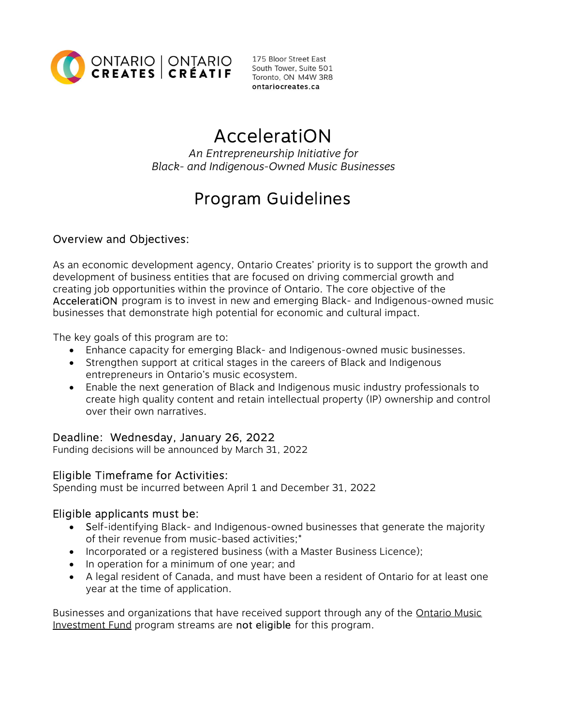

Toronto, ON M4W 3R8 ontariocreates.ca

# AcceleratiON

An Entrepreneurship Initiative for Black- and Indigenous-Owned Music Businesses

## Program Guidelines

## Overview and Objectives:

As an economic development agency, Ontario Creates' priority is to support the growth and development of business entities that are focused on driving commercial growth and creating job opportunities within the province of Ontario. The core objective of the AcceleratiON program is to invest in new and emerging Black- and Indigenous-owned music businesses that demonstrate high potential for economic and cultural impact.

The key goals of this program are to:

- Enhance capacity for emerging Black- and Indigenous-owned music businesses.
- Strengthen support at critical stages in the careers of Black and Indigenous entrepreneurs in Ontario's music ecosystem.
- Enable the next generation of Black and Indigenous music industry professionals to create high quality content and retain intellectual property (IP) ownership and control over their own narratives.

## Deadline: Wednesday, January 26, 2022

Funding decisions will be announced by March 31, 2022

## Eligible Timeframe for Activities:

Spending must be incurred between April 1 and December 31, 2022

## Eligible applicants must be:

- Self-identifying Black- and Indigenous-owned businesses that generate the majority of their revenue from music-based activities;\*
- Incorporated or a registered business (with a Master Business Licence);
- In operation for a minimum of one year; and
- A legal resident of Canada, and must have been a resident of Ontario for at least one year at the time of application.

[Businesses and organizations that have received support through any of the Ontario Music](https://ontariocreates.ca/our-sectors/music/ontario-music-investment-fund)  Investment Fund program streams are not eligible for this program.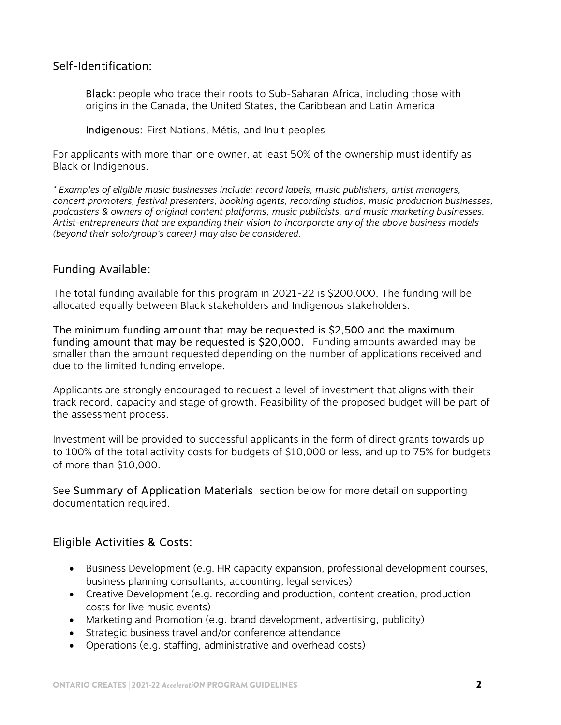#### Self-Identification:

Black: people who trace their roots to Sub-Saharan Africa, including those with origins in the Canada, the United States, the Caribbean and Latin America

Indigenous: First Nations, Métis, and Inuit peoples

For applicants with more than one owner, at least 50% of the ownership must identify as Black or Indigenous.

\* Examples of eligible music businesses include: record labels, music publishers, artist managers, concert promoters, festival presenters, booking agents, recording studios, music production businesses, podcasters & owners of original content platforms, music publicists, and music marketing businesses. Artist-entrepreneurs that are expanding their vision to incorporate any of the above business models (beyond their solo/group's career) may also be considered.

#### Funding Available:

The total funding available for this program in 2021-22 is \$200,000. The funding will be allocated equally between Black stakeholders and Indigenous stakeholders.

The minimum funding amount that may be requested is \$2,500 and the maximum funding amount that may be requested is \$20,000. Funding amounts awarded may be smaller than the amount requested depending on the number of applications received and due to the limited funding envelope.

Applicants are strongly encouraged to request a level of investment that aligns with their track record, capacity and stage of growth. Feasibility of the proposed budget will be part of the assessment process.

Investment will be provided to successful applicants in the form of direct grants towards up to 100% of the total activity costs for budgets of \$10,000 or less, and up to 75% for budgets of more than \$10,000.

See Summary of Application Materials section below for more detail on supporting documentation required.

## Eligible Activities & Costs:

- Business Development (e.g. HR capacity expansion, professional development courses, business planning consultants, accounting, legal services)
- Creative Development (e.g. recording and production, content creation, production costs for live music events)
- Marketing and Promotion (e.g. brand development, advertising, publicity)
- Strategic business travel and/or conference attendance
- Operations (e.g. staffing, administrative and overhead costs)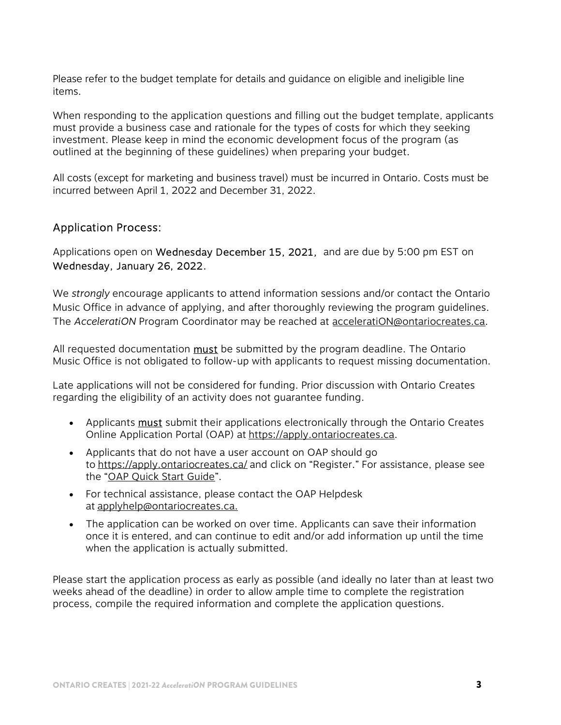Please refer to the budget template for details and guidance on eligible and ineligible line items.

When responding to the application questions and filling out the budget template, applicants must provide a business case and rationale for the types of costs for which they seeking investment. Please keep in mind the economic development focus of the program (as outlined at the beginning of these guidelines) when preparing your budget.

All costs (except for marketing and business travel) must be incurred in Ontario. Costs must be incurred between April 1, 2022 and December 31, 2022.

## Application Process:

Applications open on Wednesday December 15, 2021, and are due by 5:00 pm EST on Wednesday, January 26, 2022.

We strongly encourage applicants to attend information sessions and/or contact the Ontario Music Office in advance of applying, and after thoroughly reviewing the program guidelines. The AcceleratiON Program Coordinator may be reached at acceleratiON@ontariocreates.ca.

All requested documentation **must** be submitted by the program deadline. The Ontario Music Office is not obligated to follow-up with applicants to request missing documentation.

Late applications will not be considered for funding. Prior discussion with Ontario Creates regarding the eligibility of an activity does not guarantee funding.

- Applicants must submit their applications electronically through the Ontario Creates Online Application Portal (OAP) at https://apply.ontariocreates.ca.
- Applicants that do not have a user account on OAP should go to https://apply.ontariocreates.ca/ and click on "Register." For assistance, please see the "[OAP Quick Start Guide"](https://ontariocreates.ca/uploads/IT/OAP/English/Online-Appplication-Portal-Quick-Guide_en.pdf).
- For technical assistance, please contact the OAP Helpdesk at applyhelp@ontariocreates.ca.
- The application can be worked on over time. Applicants can save their information once it is entered, and can continue to edit and/or add information up until the time when the application is actually submitted.

Please start the application process as early as possible (and ideally no later than at least two weeks ahead of the deadline) in order to allow ample time to complete the registration process, compile the required information and complete the application questions.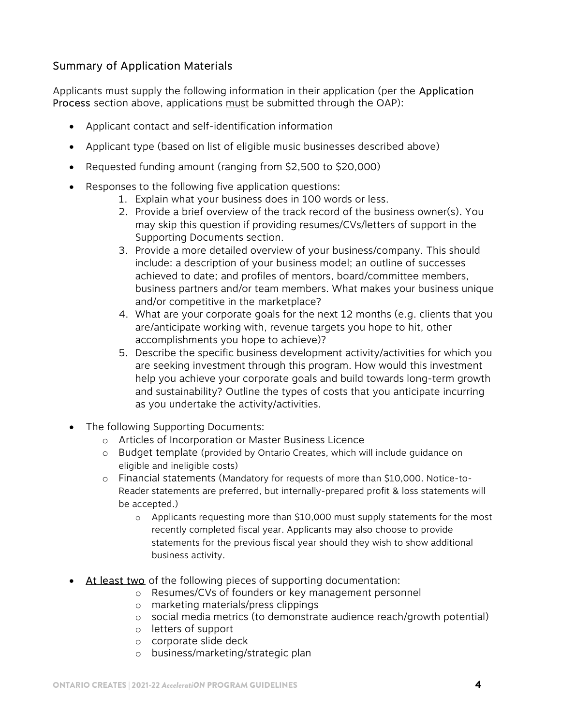## Summary of Application Materials

Applicants must supply the following information in their application (per the Application Process section above, applications must be submitted through the OAP):

- Applicant contact and self-identification information
- Applicant type (based on list of eligible music businesses described above)
- Requested funding amount (ranging from \$2,500 to \$20,000)
- Responses to the following five application questions:
	- 1. Explain what your business does in 100 words or less.
	- 2. Provide a brief overview of the track record of the business owner(s). You may skip this question if providing resumes/CVs/letters of support in the Supporting Documents section.
	- 3. Provide a more detailed overview of your business/company. This should include: a description of your business model; an outline of successes achieved to date; and profiles of mentors, board/committee members, business partners and/or team members. What makes your business unique and/or competitive in the marketplace?
	- 4. What are your corporate goals for the next 12 months (e.g. clients that you are/anticipate working with, revenue targets you hope to hit, other accomplishments you hope to achieve)?
	- 5. Describe the specific business development activity/activities for which you are seeking investment through this program. How would this investment help you achieve your corporate goals and build towards long-term growth and sustainability? Outline the types of costs that you anticipate incurring as you undertake the activity/activities.
- The following Supporting Documents:
	- o Articles of Incorporation or Master Business Licence
	- o Budget template (provided by Ontario Creates, which will include guidance on eligible and ineligible costs)
	- o Financial statements (Mandatory for requests of more than \$10,000. Notice-to-Reader statements are preferred, but internally-prepared profit & loss statements will be accepted.)
		- o Applicants requesting more than \$10,000 must supply statements for the most recently completed fiscal year. Applicants may also choose to provide statements for the previous fiscal year should they wish to show additional business activity.
- At least two of the following pieces of supporting documentation:
	- o Resumes/CVs of founders or key management personnel
	- o marketing materials/press clippings
	- o social media metrics (to demonstrate audience reach/growth potential)
	- o letters of support
	- o corporate slide deck
	- o business/marketing/strategic plan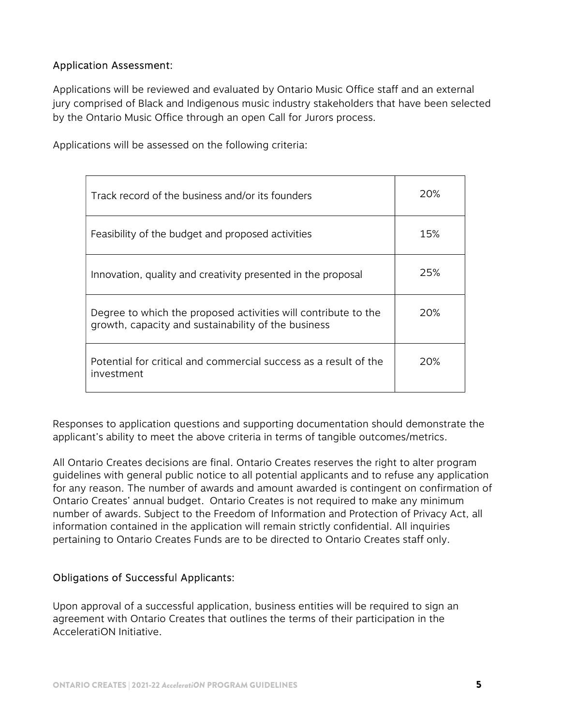#### Application Assessment:

Applications will be reviewed and evaluated by Ontario Music Office staff and an external jury comprised of Black and Indigenous music industry stakeholders that have been selected by the Ontario Music Office through an open Call for Jurors process.

Track record of the business and/or its founders 20% Feasibility of the budget and proposed activities  $\vert$  15% Innovation, quality and creativity presented in the proposal  $\sim$  25% Degree to which the proposed activities will contribute to the growth, capacity and sustainability of the business 20% Potential for critical and commercial success as a result of the investment 20%

Applications will be assessed on the following criteria:

Responses to application questions and supporting documentation should demonstrate the applicant's ability to meet the above criteria in terms of tangible outcomes/metrics.

All Ontario Creates decisions are final. Ontario Creates reserves the right to alter program guidelines with general public notice to all potential applicants and to refuse any application for any reason. The number of awards and amount awarded is contingent on confirmation of Ontario Creates' annual budget. Ontario Creates is not required to make any minimum number of awards. Subject to the Freedom of Information and Protection of Privacy Act, all information contained in the application will remain strictly confidential. All inquiries pertaining to Ontario Creates Funds are to be directed to Ontario Creates staff only.

#### Obligations of Successful Applicants:

Upon approval of a successful application, business entities will be required to sign an agreement with Ontario Creates that outlines the terms of their participation in the AcceleratiON Initiative.